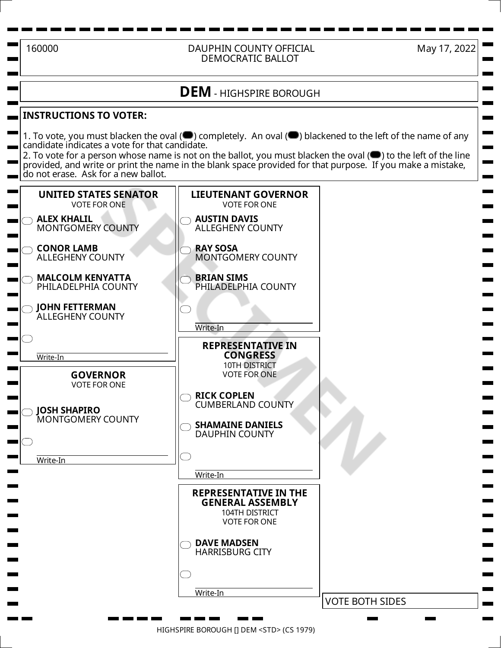## 160000 DAUPHIN COUNTY OFFICIAL DEMOCRATIC BALLOT

May 17, 2022

## **DEM** - HIGHSPIRE BOROUGH

## **INSTRUCTIONS TO VOTER:**

1. To vote, you must blacken the oval ( $\blacksquare$ ) completely. An oval ( $\blacksquare$ ) blackened to the left of the name of any candidate indicates a vote for that candidate.

2. To vote for a person whose name is not on the ballot, you must blacken the oval  $($ , to the left of the line provided, and write or print the name in the blank space provided for that purpose. If you make a mistake, do not erase. Ask for a new ballot.